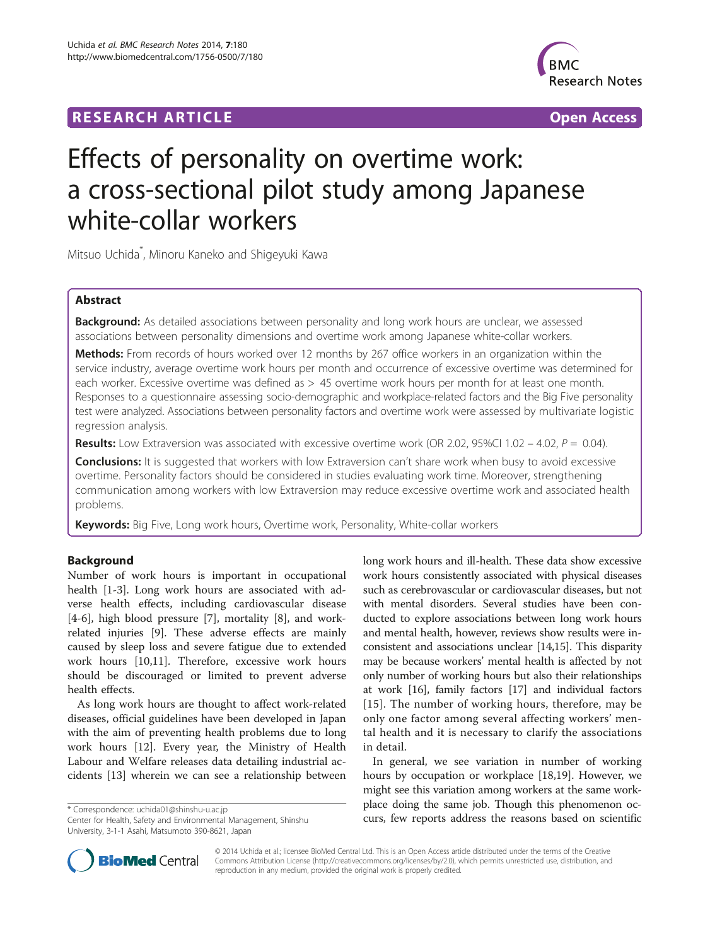## **RESEARCH ARTICLE Example 2014 CONSIDERING A RESEARCH ARTICLE**



# Effects of personality on overtime work: a cross-sectional pilot study among Japanese white-collar workers

Mitsuo Uchida\* , Minoru Kaneko and Shigeyuki Kawa

## Abstract

Background: As detailed associations between personality and long work hours are unclear, we assessed associations between personality dimensions and overtime work among Japanese white-collar workers.

Methods: From records of hours worked over 12 months by 267 office workers in an organization within the service industry, average overtime work hours per month and occurrence of excessive overtime was determined for each worker. Excessive overtime was defined as > 45 overtime work hours per month for at least one month. Responses to a questionnaire assessing socio-demographic and workplace-related factors and the Big Five personality test were analyzed. Associations between personality factors and overtime work were assessed by multivariate logistic regression analysis.

Results: Low Extraversion was associated with excessive overtime work (OR 2.02, 95%CI 1.02 – 4.02,  $P = 0.04$ ).

**Conclusions:** It is suggested that workers with low Extraversion can't share work when busy to avoid excessive overtime. Personality factors should be considered in studies evaluating work time. Moreover, strengthening communication among workers with low Extraversion may reduce excessive overtime work and associated health problems.

Keywords: Big Five, Long work hours, Overtime work, Personality, White-collar workers

## Background

Number of work hours is important in occupational health [[1-3](#page-7-0)]. Long work hours are associated with adverse health effects, including cardiovascular disease [[4-6](#page-7-0)], high blood pressure [[7\]](#page-7-0), mortality [[8\]](#page-7-0), and workrelated injuries [[9\]](#page-7-0). These adverse effects are mainly caused by sleep loss and severe fatigue due to extended work hours [[10,11\]](#page-7-0). Therefore, excessive work hours should be discouraged or limited to prevent adverse health effects.

As long work hours are thought to affect work-related diseases, official guidelines have been developed in Japan with the aim of preventing health problems due to long work hours [[12\]](#page-7-0). Every year, the Ministry of Health Labour and Welfare releases data detailing industrial accidents [[13\]](#page-7-0) wherein we can see a relationship between

Center for Health, Safety and Environmental Management, Shinshu University, 3-1-1 Asahi, Matsumoto 390-8621, Japan

long work hours and ill-health. These data show excessive work hours consistently associated with physical diseases such as cerebrovascular or cardiovascular diseases, but not with mental disorders. Several studies have been conducted to explore associations between long work hours and mental health, however, reviews show results were inconsistent and associations unclear [\[14,15\]](#page-7-0). This disparity may be because workers' mental health is affected by not only number of working hours but also their relationships at work [[16](#page-7-0)], family factors [[17](#page-7-0)] and individual factors [[15](#page-7-0)]. The number of working hours, therefore, may be only one factor among several affecting workers' mental health and it is necessary to clarify the associations in detail.

In general, we see variation in number of working hours by occupation or workplace [[18,19\]](#page-7-0). However, we might see this variation among workers at the same workplace doing the same job. Though this phenomenon oc\* Correspondence: [uchida01@shinshu-u.ac.jp](mailto:uchida01@shinshu-u.ac.jp)<br>Center for Health, Safety and Environmental Management, Shinshu<br>Center for Health, Safety and Environmental Management, Shinshu<br>Currs, few reports address the reasons based on sci



© 2014 Uchida et al.; licensee BioMed Central Ltd. This is an Open Access article distributed under the terms of the Creative Commons Attribution License [\(http://creativecommons.org/licenses/by/2.0\)](http://creativecommons.org/licenses/by/2.0), which permits unrestricted use, distribution, and reproduction in any medium, provided the original work is properly credited.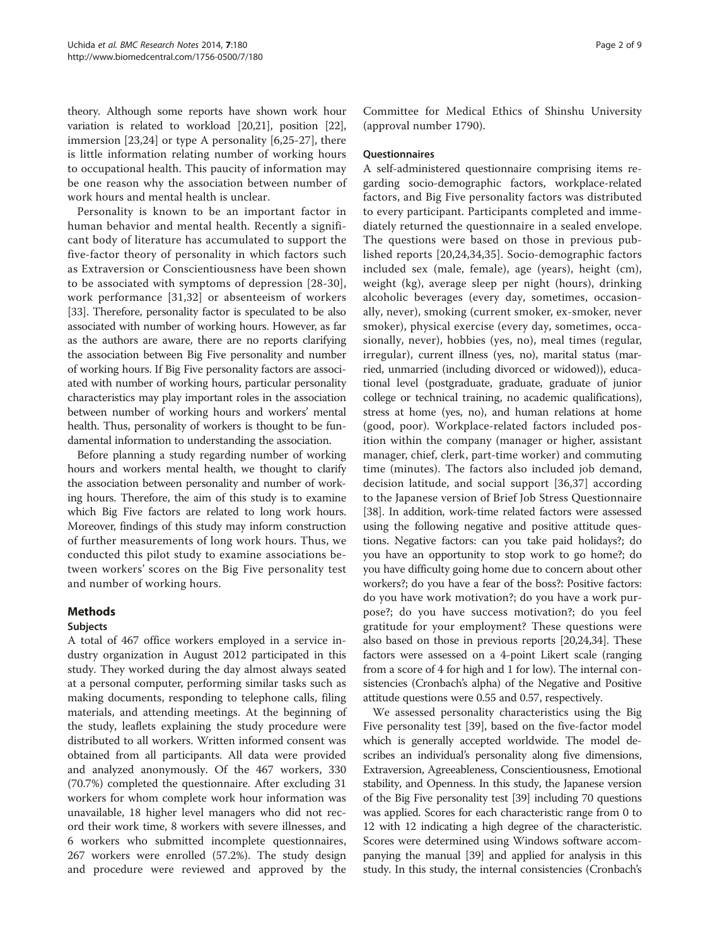theory. Although some reports have shown work hour variation is related to workload [\[20,21\]](#page-7-0), position [[22](#page-7-0)], immersion [[23,24\]](#page-7-0) or type A personality [[6,25](#page-7-0)-[27\]](#page-7-0), there is little information relating number of working hours to occupational health. This paucity of information may be one reason why the association between number of work hours and mental health is unclear.

Personality is known to be an important factor in human behavior and mental health. Recently a significant body of literature has accumulated to support the five-factor theory of personality in which factors such as Extraversion or Conscientiousness have been shown to be associated with symptoms of depression [[28](#page-7-0)-[30](#page-7-0)], work performance [[31](#page-8-0),[32\]](#page-8-0) or absenteeism of workers [[33](#page-8-0)]. Therefore, personality factor is speculated to be also associated with number of working hours. However, as far as the authors are aware, there are no reports clarifying the association between Big Five personality and number of working hours. If Big Five personality factors are associated with number of working hours, particular personality characteristics may play important roles in the association between number of working hours and workers' mental health. Thus, personality of workers is thought to be fundamental information to understanding the association.

Before planning a study regarding number of working hours and workers mental health, we thought to clarify the association between personality and number of working hours. Therefore, the aim of this study is to examine which Big Five factors are related to long work hours. Moreover, findings of this study may inform construction of further measurements of long work hours. Thus, we conducted this pilot study to examine associations between workers' scores on the Big Five personality test and number of working hours.

## Methods

#### Subjects

A total of 467 office workers employed in a service industry organization in August 2012 participated in this study. They worked during the day almost always seated at a personal computer, performing similar tasks such as making documents, responding to telephone calls, filing materials, and attending meetings. At the beginning of the study, leaflets explaining the study procedure were distributed to all workers. Written informed consent was obtained from all participants. All data were provided and analyzed anonymously. Of the 467 workers, 330 (70.7%) completed the questionnaire. After excluding 31 workers for whom complete work hour information was unavailable, 18 higher level managers who did not record their work time, 8 workers with severe illnesses, and 6 workers who submitted incomplete questionnaires, 267 workers were enrolled (57.2%). The study design and procedure were reviewed and approved by the Committee for Medical Ethics of Shinshu University (approval number 1790).

#### **Questionnaires**

A self-administered questionnaire comprising items regarding socio-demographic factors, workplace-related factors, and Big Five personality factors was distributed to every participant. Participants completed and immediately returned the questionnaire in a sealed envelope. The questions were based on those in previous published reports [\[20,24,](#page-7-0)[34](#page-8-0),[35\]](#page-8-0). Socio-demographic factors included sex (male, female), age (years), height (cm), weight (kg), average sleep per night (hours), drinking alcoholic beverages (every day, sometimes, occasionally, never), smoking (current smoker, ex-smoker, never smoker), physical exercise (every day, sometimes, occasionally, never), hobbies (yes, no), meal times (regular, irregular), current illness (yes, no), marital status (married, unmarried (including divorced or widowed)), educational level (postgraduate, graduate, graduate of junior college or technical training, no academic qualifications), stress at home (yes, no), and human relations at home (good, poor). Workplace-related factors included position within the company (manager or higher, assistant manager, chief, clerk, part-time worker) and commuting time (minutes). The factors also included job demand, decision latitude, and social support [\[36,37](#page-8-0)] according to the Japanese version of Brief Job Stress Questionnaire [[38](#page-8-0)]. In addition, work-time related factors were assessed using the following negative and positive attitude questions. Negative factors: can you take paid holidays?; do you have an opportunity to stop work to go home?; do you have difficulty going home due to concern about other workers?; do you have a fear of the boss?: Positive factors: do you have work motivation?; do you have a work purpose?; do you have success motivation?; do you feel gratitude for your employment? These questions were also based on those in previous reports [\[20,24](#page-7-0)[,34\]](#page-8-0). These factors were assessed on a 4-point Likert scale (ranging from a score of 4 for high and 1 for low). The internal consistencies (Cronbach's alpha) of the Negative and Positive attitude questions were 0.55 and 0.57, respectively.

We assessed personality characteristics using the Big Five personality test [[39](#page-8-0)], based on the five-factor model which is generally accepted worldwide. The model describes an individual's personality along five dimensions, Extraversion, Agreeableness, Conscientiousness, Emotional stability, and Openness. In this study, the Japanese version of the Big Five personality test [[39](#page-8-0)] including 70 questions was applied. Scores for each characteristic range from 0 to 12 with 12 indicating a high degree of the characteristic. Scores were determined using Windows software accompanying the manual [[39](#page-8-0)] and applied for analysis in this study. In this study, the internal consistencies (Cronbach's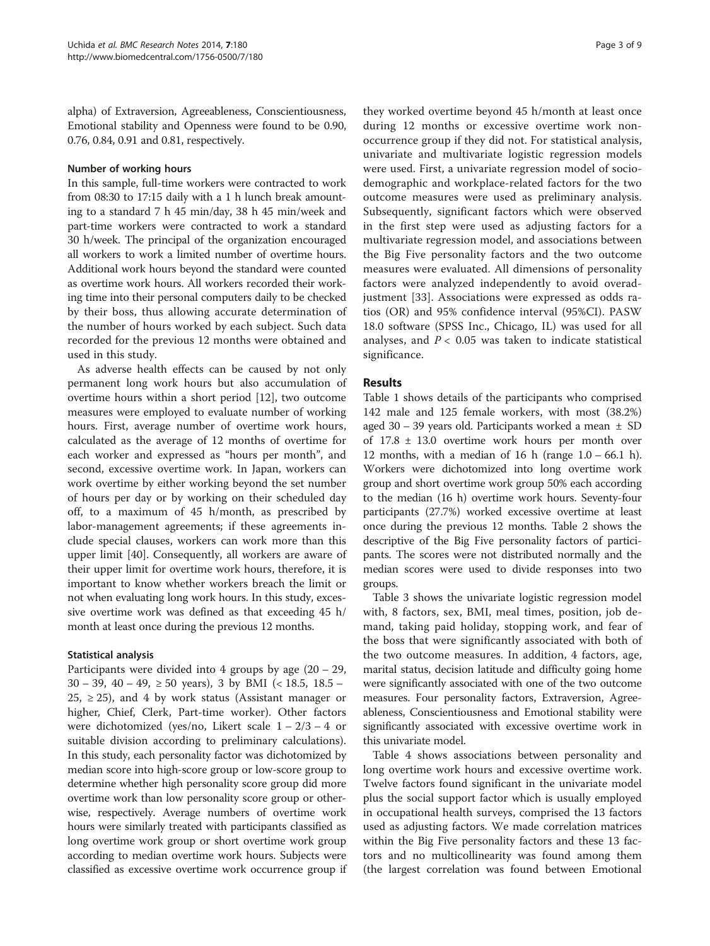alpha) of Extraversion, Agreeableness, Conscientiousness, Emotional stability and Openness were found to be 0.90, 0.76, 0.84, 0.91 and 0.81, respectively.

#### Number of working hours

In this sample, full-time workers were contracted to work from 08:30 to 17:15 daily with a 1 h lunch break amounting to a standard 7 h 45 min/day, 38 h 45 min/week and part-time workers were contracted to work a standard 30 h/week. The principal of the organization encouraged all workers to work a limited number of overtime hours. Additional work hours beyond the standard were counted as overtime work hours. All workers recorded their working time into their personal computers daily to be checked by their boss, thus allowing accurate determination of the number of hours worked by each subject. Such data recorded for the previous 12 months were obtained and used in this study.

As adverse health effects can be caused by not only permanent long work hours but also accumulation of overtime hours within a short period [[12](#page-7-0)], two outcome measures were employed to evaluate number of working hours. First, average number of overtime work hours, calculated as the average of 12 months of overtime for each worker and expressed as "hours per month", and second, excessive overtime work. In Japan, workers can work overtime by either working beyond the set number of hours per day or by working on their scheduled day off, to a maximum of 45 h/month, as prescribed by labor-management agreements; if these agreements include special clauses, workers can work more than this upper limit [[40\]](#page-8-0). Consequently, all workers are aware of their upper limit for overtime work hours, therefore, it is important to know whether workers breach the limit or not when evaluating long work hours. In this study, excessive overtime work was defined as that exceeding 45 h/ month at least once during the previous 12 months.

#### Statistical analysis

Participants were divided into 4 groups by age  $(20 – 29, 1)$ 30 – 39, 40 – 49, ≥ 50 years), 3 by BMI (< 18.5, 18.5 –  $25, \geq 25$ ), and 4 by work status (Assistant manager or higher, Chief, Clerk, Part-time worker). Other factors were dichotomized (yes/no, Likert scale  $1 - 2/3 - 4$  or suitable division according to preliminary calculations). In this study, each personality factor was dichotomized by median score into high-score group or low-score group to determine whether high personality score group did more overtime work than low personality score group or otherwise, respectively. Average numbers of overtime work hours were similarly treated with participants classified as long overtime work group or short overtime work group according to median overtime work hours. Subjects were classified as excessive overtime work occurrence group if

they worked overtime beyond 45 h/month at least once during 12 months or excessive overtime work nonoccurrence group if they did not. For statistical analysis, univariate and multivariate logistic regression models were used. First, a univariate regression model of sociodemographic and workplace-related factors for the two outcome measures were used as preliminary analysis. Subsequently, significant factors which were observed in the first step were used as adjusting factors for a multivariate regression model, and associations between the Big Five personality factors and the two outcome measures were evaluated. All dimensions of personality factors were analyzed independently to avoid overadjustment [\[33](#page-8-0)]. Associations were expressed as odds ratios (OR) and 95% confidence interval (95%CI). PASW 18.0 software (SPSS Inc., Chicago, IL) was used for all analyses, and  $P < 0.05$  was taken to indicate statistical significance.

### Results

Table [1](#page-3-0) shows details of the participants who comprised 142 male and 125 female workers, with most (38.2%) aged 30 – 39 years old. Participants worked a mean ± SD of 17.8 ± 13.0 overtime work hours per month over 12 months, with a median of 16 h (range 1.0 – 66.1 h). Workers were dichotomized into long overtime work group and short overtime work group 50% each according to the median (16 h) overtime work hours. Seventy-four participants (27.7%) worked excessive overtime at least once during the previous 12 months. Table [2](#page-3-0) shows the descriptive of the Big Five personality factors of participants. The scores were not distributed normally and the median scores were used to divide responses into two groups.

Table [3](#page-4-0) shows the univariate logistic regression model with, 8 factors, sex, BMI, meal times, position, job demand, taking paid holiday, stopping work, and fear of the boss that were significantly associated with both of the two outcome measures. In addition, 4 factors, age, marital status, decision latitude and difficulty going home were significantly associated with one of the two outcome measures. Four personality factors, Extraversion, Agreeableness, Conscientiousness and Emotional stability were significantly associated with excessive overtime work in this univariate model.

Table [4](#page-6-0) shows associations between personality and long overtime work hours and excessive overtime work. Twelve factors found significant in the univariate model plus the social support factor which is usually employed in occupational health surveys, comprised the 13 factors used as adjusting factors. We made correlation matrices within the Big Five personality factors and these 13 factors and no multicollinearity was found among them (the largest correlation was found between Emotional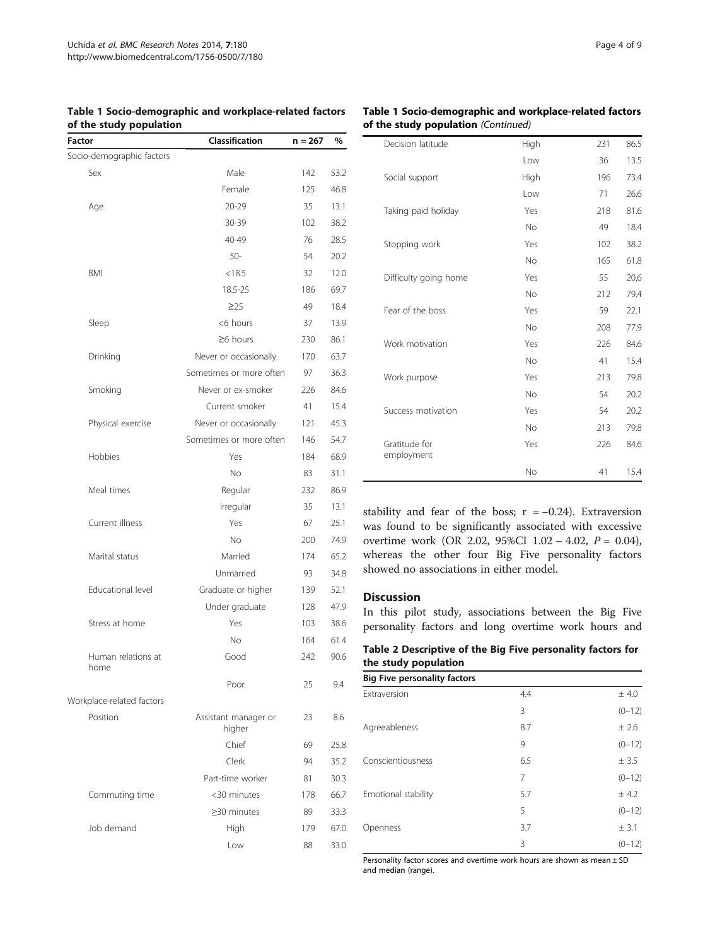#### <span id="page-3-0"></span>Table 1 Socio-demographic and workplace-related factors of the study population

| Classification                 | $n = 267$ | %    |
|--------------------------------|-----------|------|
|                                |           |      |
| Male                           | 142       | 53.2 |
| Female                         | 125       | 46.8 |
| $20 - 29$                      | 35        | 13.1 |
| 30-39                          | 102       | 38.2 |
| 40-49                          | 76        | 28.5 |
| $50-$                          | 54        | 20.2 |
| < 18.5                         | 32        | 12.0 |
| 18.5-25                        | 186       | 69.7 |
| $\geq$ 25                      | 49        | 18.4 |
| <6 hours                       | 37        | 13.9 |
| $\geq$ 6 hours                 | 230       | 86.1 |
| Never or occasionally          | 170       | 63.7 |
| Sometimes or more often        | 97        | 36.3 |
| Never or ex-smoker             | 226       | 84.6 |
| Current smoker                 | 41        | 15.4 |
| Never or occasionally          | 121       | 45.3 |
| Sometimes or more often        | 146       | 54.7 |
| Yes                            | 184       | 68.9 |
| <b>No</b>                      | 83        | 31.1 |
| Regular                        | 232       | 86.9 |
| Irregular                      | 35        | 13.1 |
| Yes                            | 67        | 25.1 |
| <b>No</b>                      | 200       | 74.9 |
| Married                        | 174       | 65.2 |
| Unmarried                      | 93        | 34.8 |
| Graduate or higher             | 139       | 52.1 |
| Under graduate                 | 128       | 47.9 |
| Yes                            | 103       | 38.6 |
| <b>No</b>                      | 164       | 61.4 |
| Good                           | 242       | 90.6 |
| Poor                           | 25        | 9.4  |
|                                |           |      |
| Assistant manager or<br>higher | 23        | 8.6  |
| Chief                          | 69        | 25.8 |
| Clerk                          | 94        | 35.2 |
| Part-time worker               | 81        | 30.3 |
| <30 minutes                    | 178       | 66.7 |
| ≥30 minutes                    | 89        | 33.3 |
| High                           | 179       | 67.0 |
| Low                            | 88        | 33.0 |
|                                |           |      |

#### Table 1 Socio-demographic and workplace-related factors of the study population (Continued)

| Decision latitude           | High           | 231 | 86.5 |
|-----------------------------|----------------|-----|------|
|                             | Low            | 36  | 13.5 |
| Social support              | High           | 196 | 73.4 |
|                             | Low            | 71  | 26.6 |
| Taking paid holiday         | Yes            | 218 | 81.6 |
|                             | <b>No</b>      | 49  | 18.4 |
| Stopping work               | Yes            | 102 | 38.2 |
|                             | <b>No</b>      | 165 | 61.8 |
| Difficulty going home       | Yes            | 55  | 20.6 |
|                             | <b>No</b>      | 212 | 79.4 |
| Fear of the boss            | Yes            | 59  | 22.1 |
|                             | <b>No</b>      | 208 | 77.9 |
| Work motivation             | Yes            | 226 | 84.6 |
|                             | <b>No</b>      | 41  | 15.4 |
| Work purpose                | Yes            | 213 | 79.8 |
|                             | N <sub>o</sub> | 54  | 20.2 |
| Success motivation          | Yes            | 54  | 20.2 |
|                             | <b>No</b>      | 213 | 79.8 |
| Gratitude for<br>employment | Yes            | 226 | 84.6 |
|                             | No             | 41  | 15.4 |

stability and fear of the boss;  $r = -0.24$ ). Extraversion was found to be significantly associated with excessive overtime work (OR 2.02, 95%CI 1.02 – 4.02, P = 0.04), whereas the other four Big Five personality factors showed no associations in either model.

## Discussion

In this pilot study, associations between the Big Five personality factors and long overtime work hours and

Table 2 Descriptive of the Big Five personality factors for the study population

| <b>Big Five personality factors</b> |     |          |
|-------------------------------------|-----|----------|
| Extraversion                        | 4.4 | ± 4.0    |
|                                     | 3   | $(0-12)$ |
| Agreeableness                       | 8.7 | ± 2.6    |
|                                     | 9   | $(0-12)$ |
| Conscientiousness                   | 6.5 | ± 3.5    |
|                                     | 7   | $(0-12)$ |
| Emotional stability                 | 5.7 | ± 4.2    |
|                                     | 5   | $(0-12)$ |
| Openness                            | 3.7 | ± 3.1    |
|                                     | 3   | $(0-12)$ |

Personality factor scores and overtime work hours are shown as mean ± SD and median (range).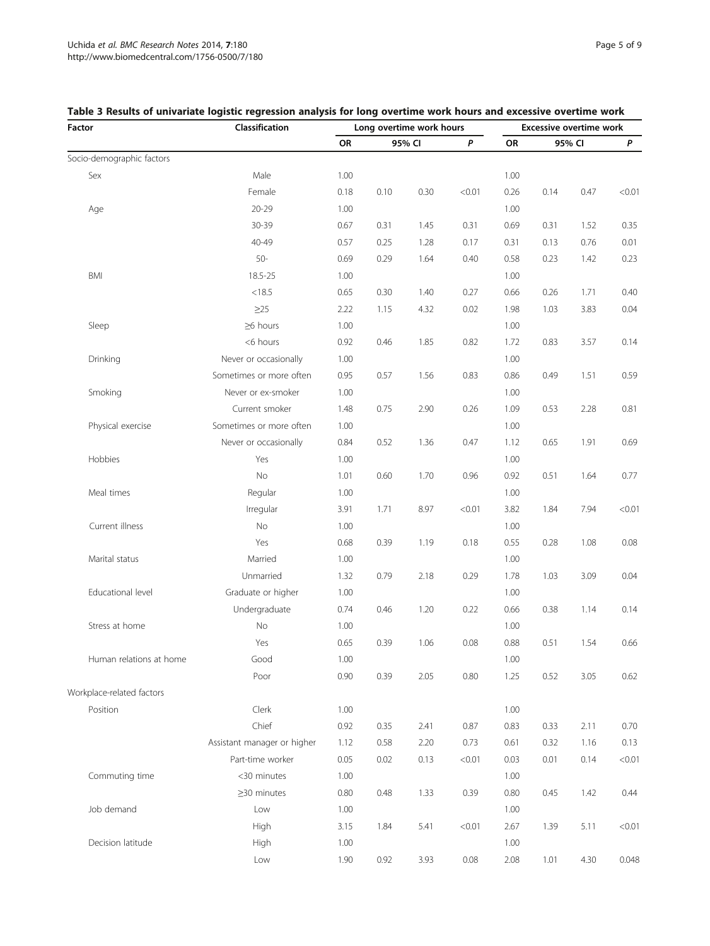| Factor                    | Classification              | Long overtime work hours |      |           |              | <b>Excessive overtime work</b> |      |           |        |
|---------------------------|-----------------------------|--------------------------|------|-----------|--------------|--------------------------------|------|-----------|--------|
|                           |                             | 95% CI<br>OR             |      | $\pmb{P}$ | OR<br>95% CI |                                |      | $\pmb{P}$ |        |
| Socio-demographic factors |                             |                          |      |           |              |                                |      |           |        |
| Sex                       | Male                        | 1.00                     |      |           |              | 1.00                           |      |           |        |
|                           | Female                      | 0.18                     | 0.10 | 0.30      | < 0.01       | 0.26                           | 0.14 | 0.47      | < 0.01 |
| Age                       | $20 - 29$                   | 1.00                     |      |           |              | 1.00                           |      |           |        |
|                           | 30-39                       | 0.67                     | 0.31 | 1.45      | 0.31         | 0.69                           | 0.31 | 1.52      | 0.35   |
|                           | 40-49                       | 0.57                     | 0.25 | 1.28      | 0.17         | 0.31                           | 0.13 | 0.76      | 0.01   |
|                           | $50-$                       | 0.69                     | 0.29 | 1.64      | 0.40         | 0.58                           | 0.23 | 1.42      | 0.23   |
| BMI                       | 18.5-25                     | 1.00                     |      |           |              | 1.00                           |      |           |        |
|                           | < 18.5                      | 0.65                     | 0.30 | 1.40      | 0.27         | 0.66                           | 0.26 | 1.71      | 0.40   |
|                           | $\geq$ 25                   | 2.22                     | 1.15 | 4.32      | 0.02         | 1.98                           | 1.03 | 3.83      | 0.04   |
| Sleep                     | $\geq 6$ hours              | 1.00                     |      |           |              | 1.00                           |      |           |        |
|                           | <6 hours                    | 0.92                     | 0.46 | 1.85      | 0.82         | 1.72                           | 0.83 | 3.57      | 0.14   |
| Drinking                  | Never or occasionally       | 1.00                     |      |           |              | 1.00                           |      |           |        |
|                           | Sometimes or more often     | 0.95                     | 0.57 | 1.56      | 0.83         | 0.86                           | 0.49 | 1.51      | 0.59   |
| Smoking                   | Never or ex-smoker          | 1.00                     |      |           |              | 1.00                           |      |           |        |
|                           | Current smoker              | 1.48                     | 0.75 | 2.90      | 0.26         | 1.09                           | 0.53 | 2.28      | 0.81   |
| Physical exercise         | Sometimes or more often     | 1.00                     |      |           |              | 1.00                           |      |           |        |
|                           | Never or occasionally       | 0.84                     | 0.52 | 1.36      | 0.47         | 1.12                           | 0.65 | 1.91      | 0.69   |
| Hobbies                   | Yes                         | 1.00                     |      |           |              | 1.00                           |      |           |        |
|                           | No                          | 1.01                     | 0.60 | 1.70      | 0.96         | 0.92                           | 0.51 | 1.64      | 0.77   |
| Meal times                | Regular                     | 1.00                     |      |           |              | 1.00                           |      |           |        |
|                           | Irregular                   | 3.91                     | 1.71 | 8.97      | < 0.01       | 3.82                           | 1.84 | 7.94      | < 0.01 |
| Current illness           | No                          | 1.00                     |      |           |              | 1.00                           |      |           |        |
|                           | Yes                         | 0.68                     | 0.39 | 1.19      | 0.18         | 0.55                           | 0.28 | 1.08      | 0.08   |
| Marital status            | Married                     | 1.00                     |      |           |              | 1.00                           |      |           |        |
|                           | Unmarried                   | 1.32                     | 0.79 | 2.18      | 0.29         | 1.78                           | 1.03 | 3.09      | 0.04   |
| Educational level         | Graduate or higher          | 1.00                     |      |           |              | 1.00                           |      |           |        |
|                           | Undergraduate               | 0.74                     | 0.46 | 1.20      | 0.22         | 0.66                           | 0.38 | 1.14      | 0.14   |
| Stress at home            | No                          | 1.00                     |      |           |              | 1.00                           |      |           |        |
|                           | Yes                         | 0.65                     | 0.39 | 1.06      | 0.08         | 0.88                           | 0.51 | 1.54      | 0.66   |
| Human relations at home   | Good                        | 1.00                     |      |           |              | 1.00                           |      |           |        |
|                           | Poor                        | 0.90                     | 0.39 | 2.05      | 0.80         | 1.25                           | 0.52 | 3.05      | 0.62   |
| Workplace-related factors |                             |                          |      |           |              |                                |      |           |        |
| Position                  | Clerk                       | 1.00                     |      |           |              | 1.00                           |      |           |        |
|                           | Chief                       | 0.92                     | 0.35 | 2.41      | 0.87         | 0.83                           | 0.33 | 2.11      | 0.70   |
|                           | Assistant manager or higher | 1.12                     | 0.58 | 2.20      | 0.73         | 0.61                           | 0.32 | 1.16      | 0.13   |
|                           | Part-time worker            | 0.05                     | 0.02 | 0.13      | < 0.01       | 0.03                           | 0.01 | 0.14      | < 0.01 |
| Commuting time            | <30 minutes                 | 1.00                     |      |           |              | 1.00                           |      |           |        |
|                           | $\geq$ 30 minutes           | 0.80                     | 0.48 | 1.33      | 0.39         | 0.80                           | 0.45 | 1.42      | 0.44   |
| Job demand                | Low                         | 1.00                     |      |           |              | 1.00                           |      |           |        |
|                           | High                        | 3.15                     | 1.84 | 5.41      | < 0.01       | 2.67                           | 1.39 | 5.11      | < 0.01 |
| Decision latitude         | High                        | 1.00                     |      |           |              | 1.00                           |      |           |        |
|                           | Low                         | 1.90                     | 0.92 | 3.93      | 0.08         | 2.08                           | 1.01 | 4.30      | 0.048  |

## <span id="page-4-0"></span>Table 3 Results of univariate logistic regression analysis for long overtime work hours and excessive overtime work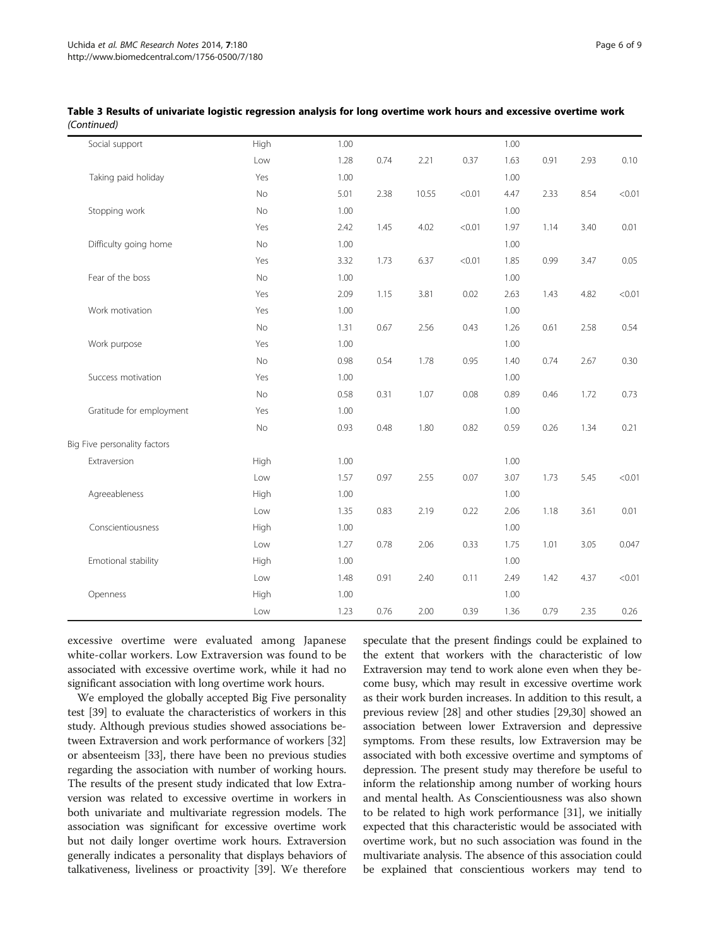| Social support               | High | 1.00 |      |       |        | 1.00 |      |      |        |
|------------------------------|------|------|------|-------|--------|------|------|------|--------|
|                              | Low  | 1.28 | 0.74 | 2.21  | 0.37   | 1.63 | 0.91 | 2.93 | 0.10   |
| Taking paid holiday          | Yes  | 1.00 |      |       |        | 1.00 |      |      |        |
|                              | No   | 5.01 | 2.38 | 10.55 | < 0.01 | 4.47 | 2.33 | 8.54 | < 0.01 |
| Stopping work                | No   | 1.00 |      |       |        | 1.00 |      |      |        |
|                              | Yes  | 2.42 | 1.45 | 4.02  | < 0.01 | 1.97 | 1.14 | 3.40 | 0.01   |
| Difficulty going home        | No   | 1.00 |      |       |        | 1.00 |      |      |        |
|                              | Yes  | 3.32 | 1.73 | 6.37  | < 0.01 | 1.85 | 0.99 | 3.47 | 0.05   |
| Fear of the boss             | No   | 1.00 |      |       |        | 1.00 |      |      |        |
|                              | Yes  | 2.09 | 1.15 | 3.81  | 0.02   | 2.63 | 1.43 | 4.82 | < 0.01 |
| Work motivation              | Yes  | 1.00 |      |       |        | 1.00 |      |      |        |
|                              | No   | 1.31 | 0.67 | 2.56  | 0.43   | 1.26 | 0.61 | 2.58 | 0.54   |
| Work purpose                 | Yes  | 1.00 |      |       |        | 1.00 |      |      |        |
|                              | No   | 0.98 | 0.54 | 1.78  | 0.95   | 1.40 | 0.74 | 2.67 | 0.30   |
| Success motivation           | Yes  | 1.00 |      |       |        | 1.00 |      |      |        |
|                              | No   | 0.58 | 0.31 | 1.07  | 0.08   | 0.89 | 0.46 | 1.72 | 0.73   |
| Gratitude for employment     | Yes  | 1.00 |      |       |        | 1.00 |      |      |        |
|                              | No   | 0.93 | 0.48 | 1.80  | 0.82   | 0.59 | 0.26 | 1.34 | 0.21   |
| Big Five personality factors |      |      |      |       |        |      |      |      |        |
| Extraversion                 | High | 1.00 |      |       |        | 1.00 |      |      |        |
|                              | Low  | 1.57 | 0.97 | 2.55  | 0.07   | 3.07 | 1.73 | 5.45 | < 0.01 |
| Agreeableness                | High | 1.00 |      |       |        | 1.00 |      |      |        |
|                              | Low  | 1.35 | 0.83 | 2.19  | 0.22   | 2.06 | 1.18 | 3.61 | 0.01   |
| Conscientiousness            | High | 1.00 |      |       |        | 1.00 |      |      |        |
|                              | Low  | 1.27 | 0.78 | 2.06  | 0.33   | 1.75 | 1.01 | 3.05 | 0.047  |
| Emotional stability          | High | 1.00 |      |       |        | 1.00 |      |      |        |
|                              | Low  | 1.48 | 0.91 | 2.40  | 0.11   | 2.49 | 1.42 | 4.37 | < 0.01 |
| Openness                     | High | 1.00 |      |       |        | 1.00 |      |      |        |
|                              | Low  | 1.23 | 0.76 | 2.00  | 0.39   | 1.36 | 0.79 | 2.35 | 0.26   |

Table 3 Results of univariate logistic regression analysis for long overtime work hours and excessive overtime work (Continued)

excessive overtime were evaluated among Japanese white-collar workers. Low Extraversion was found to be associated with excessive overtime work, while it had no significant association with long overtime work hours.

We employed the globally accepted Big Five personality test [\[39](#page-8-0)] to evaluate the characteristics of workers in this study. Although previous studies showed associations between Extraversion and work performance of workers [[32](#page-8-0)] or absenteeism [\[33\]](#page-8-0), there have been no previous studies regarding the association with number of working hours. The results of the present study indicated that low Extraversion was related to excessive overtime in workers in both univariate and multivariate regression models. The association was significant for excessive overtime work but not daily longer overtime work hours. Extraversion generally indicates a personality that displays behaviors of talkativeness, liveliness or proactivity [\[39](#page-8-0)]. We therefore speculate that the present findings could be explained to the extent that workers with the characteristic of low Extraversion may tend to work alone even when they become busy, which may result in excessive overtime work as their work burden increases. In addition to this result, a previous review [\[28](#page-7-0)] and other studies [\[29,30\]](#page-7-0) showed an association between lower Extraversion and depressive symptoms. From these results, low Extraversion may be associated with both excessive overtime and symptoms of depression. The present study may therefore be useful to inform the relationship among number of working hours and mental health. As Conscientiousness was also shown to be related to high work performance [[31](#page-8-0)], we initially expected that this characteristic would be associated with overtime work, but no such association was found in the multivariate analysis. The absence of this association could be explained that conscientious workers may tend to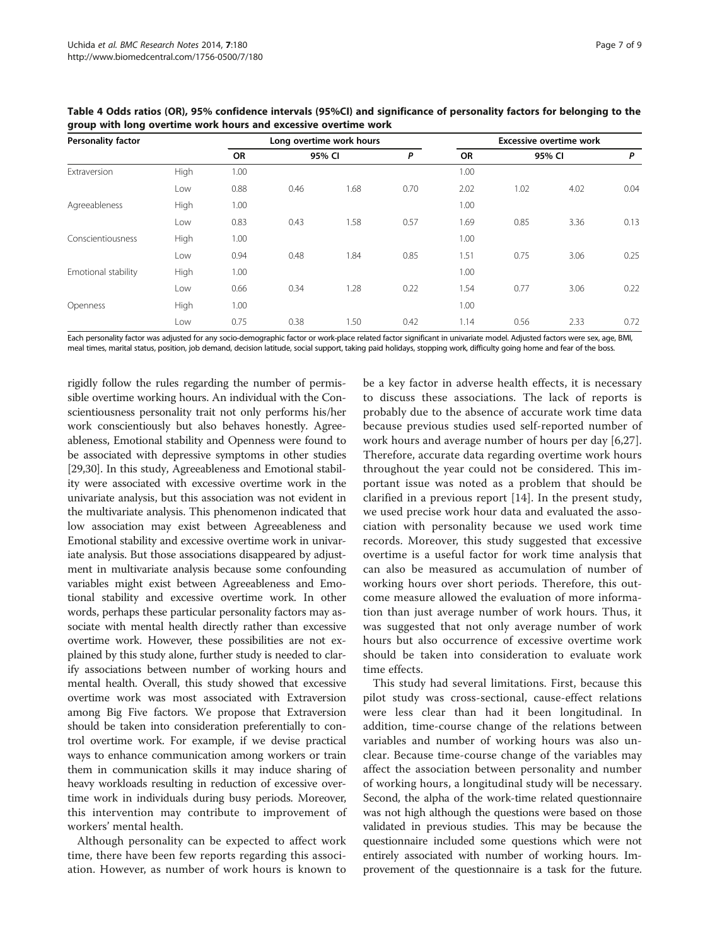| <b>Personality factor</b> |      |           |        | Long overtime work hours | <b>Excessive overtime work</b> |           |        |      |      |
|---------------------------|------|-----------|--------|--------------------------|--------------------------------|-----------|--------|------|------|
|                           |      | <b>OR</b> | 95% CI |                          | P                              | <b>OR</b> | 95% CI |      | P    |
| Extraversion              | High | 1.00      |        |                          |                                | 1.00      |        |      |      |
|                           | Low  | 0.88      | 0.46   | 1.68                     | 0.70                           | 2.02      | 1.02   | 4.02 | 0.04 |
| Agreeableness             | High | 1.00      |        |                          |                                | 1.00      |        |      |      |
|                           | Low  | 0.83      | 0.43   | 1.58                     | 0.57                           | 1.69      | 0.85   | 3.36 | 0.13 |
| Conscientiousness         | High | 1.00      |        |                          |                                | 1.00      |        |      |      |
|                           | Low  | 0.94      | 0.48   | 1.84                     | 0.85                           | 1.51      | 0.75   | 3.06 | 0.25 |
| Emotional stability       | High | 1.00      |        |                          |                                | 1.00      |        |      |      |
|                           | Low  | 0.66      | 0.34   | 1.28                     | 0.22                           | 1.54      | 0.77   | 3.06 | 0.22 |
| Openness                  | High | 1.00      |        |                          |                                | 1.00      |        |      |      |
|                           | Low  | 0.75      | 0.38   | 1.50                     | 0.42                           | 1.14      | 0.56   | 2.33 | 0.72 |

<span id="page-6-0"></span>Table 4 Odds ratios (OR), 95% confidence intervals (95%CI) and significance of personality factors for belonging to the group with long overtime work hours and excessive overtime work

Each personality factor was adjusted for any socio-demographic factor or work-place related factor significant in univariate model. Adjusted factors were sex, age, BMI, meal times, marital status, position, job demand, decision latitude, social support, taking paid holidays, stopping work, difficulty going home and fear of the boss.

rigidly follow the rules regarding the number of permissible overtime working hours. An individual with the Conscientiousness personality trait not only performs his/her work conscientiously but also behaves honestly. Agreeableness, Emotional stability and Openness were found to be associated with depressive symptoms in other studies [[29,30](#page-7-0)]. In this study, Agreeableness and Emotional stability were associated with excessive overtime work in the univariate analysis, but this association was not evident in the multivariate analysis. This phenomenon indicated that low association may exist between Agreeableness and Emotional stability and excessive overtime work in univariate analysis. But those associations disappeared by adjustment in multivariate analysis because some confounding variables might exist between Agreeableness and Emotional stability and excessive overtime work. In other words, perhaps these particular personality factors may associate with mental health directly rather than excessive overtime work. However, these possibilities are not explained by this study alone, further study is needed to clarify associations between number of working hours and mental health. Overall, this study showed that excessive overtime work was most associated with Extraversion among Big Five factors. We propose that Extraversion should be taken into consideration preferentially to control overtime work. For example, if we devise practical ways to enhance communication among workers or train them in communication skills it may induce sharing of heavy workloads resulting in reduction of excessive overtime work in individuals during busy periods. Moreover, this intervention may contribute to improvement of workers' mental health.

Although personality can be expected to affect work time, there have been few reports regarding this association. However, as number of work hours is known to

be a key factor in adverse health effects, it is necessary to discuss these associations. The lack of reports is probably due to the absence of accurate work time data because previous studies used self-reported number of work hours and average number of hours per day [[6,27](#page-7-0)]. Therefore, accurate data regarding overtime work hours throughout the year could not be considered. This important issue was noted as a problem that should be clarified in a previous report [\[14](#page-7-0)]. In the present study, we used precise work hour data and evaluated the association with personality because we used work time records. Moreover, this study suggested that excessive overtime is a useful factor for work time analysis that can also be measured as accumulation of number of working hours over short periods. Therefore, this outcome measure allowed the evaluation of more information than just average number of work hours. Thus, it was suggested that not only average number of work hours but also occurrence of excessive overtime work should be taken into consideration to evaluate work time effects.

This study had several limitations. First, because this pilot study was cross-sectional, cause-effect relations were less clear than had it been longitudinal. In addition, time-course change of the relations between variables and number of working hours was also unclear. Because time-course change of the variables may affect the association between personality and number of working hours, a longitudinal study will be necessary. Second, the alpha of the work-time related questionnaire was not high although the questions were based on those validated in previous studies. This may be because the questionnaire included some questions which were not entirely associated with number of working hours. Improvement of the questionnaire is a task for the future.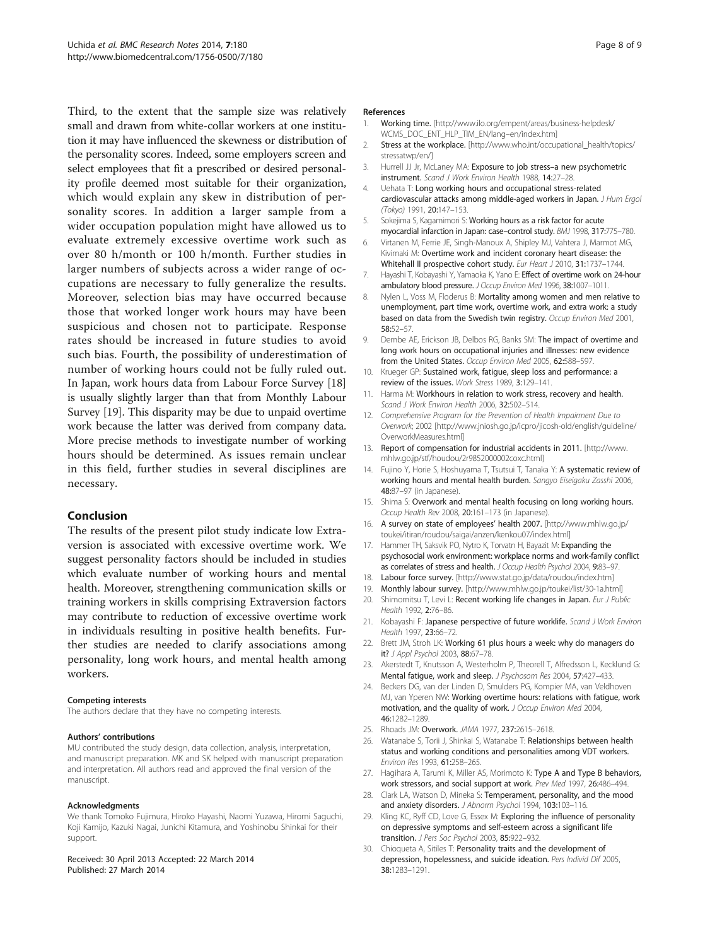<span id="page-7-0"></span>Third, to the extent that the sample size was relatively small and drawn from white-collar workers at one institution it may have influenced the skewness or distribution of the personality scores. Indeed, some employers screen and select employees that fit a prescribed or desired personality profile deemed most suitable for their organization, which would explain any skew in distribution of personality scores. In addition a larger sample from a wider occupation population might have allowed us to evaluate extremely excessive overtime work such as over 80 h/month or 100 h/month. Further studies in larger numbers of subjects across a wider range of occupations are necessary to fully generalize the results. Moreover, selection bias may have occurred because those that worked longer work hours may have been suspicious and chosen not to participate. Response rates should be increased in future studies to avoid such bias. Fourth, the possibility of underestimation of number of working hours could not be fully ruled out. In Japan, work hours data from Labour Force Survey [18] is usually slightly larger than that from Monthly Labour Survey [19]. This disparity may be due to unpaid overtime work because the latter was derived from company data. More precise methods to investigate number of working hours should be determined. As issues remain unclear in this field, further studies in several disciplines are necessary.

#### Conclusion

The results of the present pilot study indicate low Extraversion is associated with excessive overtime work. We suggest personality factors should be included in studies which evaluate number of working hours and mental health. Moreover, strengthening communication skills or training workers in skills comprising Extraversion factors may contribute to reduction of excessive overtime work in individuals resulting in positive health benefits. Further studies are needed to clarify associations among personality, long work hours, and mental health among workers.

#### Competing interests

The authors declare that they have no competing interests.

#### Authors' contributions

MU contributed the study design, data collection, analysis, interpretation, and manuscript preparation. MK and SK helped with manuscript preparation and interpretation. All authors read and approved the final version of the manuscript.

#### Acknowledgments

We thank Tomoko Fujimura, Hiroko Hayashi, Naomi Yuzawa, Hiromi Saguchi, Koji Kamijo, Kazuki Nagai, Junichi Kitamura, and Yoshinobu Shinkai for their support.

#### Received: 30 April 2013 Accepted: 22 March 2014 Published: 27 March 2014

#### References

- 1. Working time. [[http://www.ilo.org/empent/areas/business-helpdesk/](http://www.ilo.org/empent/areas/business-helpdesk/WCMS_DOC_ENT_HLP_TIM_EN/lang--en/index.htm) [WCMS\\_DOC\\_ENT\\_HLP\\_TIM\\_EN/lang](http://www.ilo.org/empent/areas/business-helpdesk/WCMS_DOC_ENT_HLP_TIM_EN/lang--en/index.htm)–en/index.htm]
- 2. Stress at the workplace. [[http://www.who.int/occupational\\_health/topics/](http://www.who.int/occupational_health/topics/stressatwp/en/) [stressatwp/en/\]](http://www.who.int/occupational_health/topics/stressatwp/en/)
- Hurrell JJ Jr, McLaney MA: Exposure to job stress-a new psychometric instrument. Scand J Work Environ Health 1988, 14:27–28.
- 4. Uehata T: Long working hours and occupational stress-related cardiovascular attacks among middle-aged workers in Japan. J Hum Ergol (Tokyo) 1991, 20:147–153.
- 5. Sokejima S, Kagamimori S: Working hours as a risk factor for acute myocardial infarction in Japan: case–control study. BMJ 1998, 317:775–780.
- 6. Virtanen M, Ferrie JE, Singh-Manoux A, Shipley MJ, Vahtera J, Marmot MG, Kivimaki M: Overtime work and incident coronary heart disease: the Whitehall II prospective cohort study. Eur Heart J 2010, 31:1737-1744.
- 7. Hayashi T, Kobayashi Y, Yamaoka K, Yano E: Effect of overtime work on 24-hour ambulatory blood pressure. J Occup Environ Med 1996, 38:1007–1011.
- 8. Nylen L, Voss M, Floderus B: Mortality among women and men relative to unemployment, part time work, overtime work, and extra work: a study based on data from the Swedish twin registry. Occup Environ Med 2001, 58:52–57.
- 9. Dembe AE, Erickson JB, Delbos RG, Banks SM: The impact of overtime and long work hours on occupational injuries and illnesses: new evidence from the United States. Occup Environ Med 2005, 62:588-597.
- 10. Krueger GP: Sustained work, fatigue, sleep loss and performance: a review of the issues. Work Stress 1989, 3:129–141.
- 11. Harma M: Workhours in relation to work stress, recovery and health. Scand J Work Environ Health 2006, 32:502–514.
- 12. Comprehensive Program for the Prevention of Health Impairment Due to Overwork; 2002 [[http://www.jniosh.go.jp/icpro/jicosh-old/english/guideline/](http://www.jniosh.go.jp/icpro/jicosh-old/english/guideline/OverworkMeasures.html) [OverworkMeasures.html\]](http://www.jniosh.go.jp/icpro/jicosh-old/english/guideline/OverworkMeasures.html)
- 13. Report of compensation for industrial accidents in 2011. [\[http://www.](http://www.mhlw.go.jp/stf/houdou/2r9852000002coxc.html) [mhlw.go.jp/stf/houdou/2r9852000002coxc.html\]](http://www.mhlw.go.jp/stf/houdou/2r9852000002coxc.html)
- 14. Fujino Y, Horie S, Hoshuyama T, Tsutsui T, Tanaka Y: A systematic review of working hours and mental health burden. Sangyo Eiseigaku Zasshi 2006, 48:87–97 (in Japanese).
- 15. Shima S: Overwork and mental health focusing on long working hours. Occup Health Rev 2008, 20:161–173 (in Japanese).
- 16. A survey on state of employees' health 2007. [[http://www.mhlw.go.jp/](http://www.mhlw.go.jp/toukei/itiran/roudou/saigai/anzen/kenkou07/index.html) [toukei/itiran/roudou/saigai/anzen/kenkou07/index.html](http://www.mhlw.go.jp/toukei/itiran/roudou/saigai/anzen/kenkou07/index.html)]
- 17. Hammer TH, Saksvik PO, Nytro K, Torvatn H, Bayazit M: Expanding the psychosocial work environment: workplace norms and work-family conflict as correlates of stress and health. J Occup Health Psychol 2004, 9:83-97.
- 18. Labour force survey. [\[http://www.stat.go.jp/data/roudou/index.htm\]](http://www.stat.go.jp/data/roudou/index.htm)
- 19. Monthly labour survey. [\[http://www.mhlw.go.jp/toukei/list/30-1a.html\]](http://www.mhlw.go.jp/toukei/list/30-1a.html)
- 20. Shimomitsu T, Levi L: Recent working life changes in Japan. Eur J Public Health 1992, 2:76–86.
- 21. Kobayashi F: Japanese perspective of future worklife. Scand J Work Environ Health 1997, 23:66–72.
- 22. Brett JM, Stroh LK: Working 61 plus hours a week: why do managers do it? J Appl Psychol 2003, 88:67–78.
- 23. Akerstedt T, Knutsson A, Westerholm P, Theorell T, Alfredsson L, Kecklund G: Mental fatigue, work and sleep. J Psychosom Res 2004, 57:427–433.
- 24. Beckers DG, van der Linden D, Smulders PG, Kompier MA, van Veldhoven MJ, van Yperen NW: Working overtime hours: relations with fatigue, work motivation, and the quality of work. J Occup Environ Med 2004, 46:1282–1289.
- 25. Rhoads JM: Overwork. JAMA 1977, 237:2615-2618.
- 26. Watanabe S, Torii J, Shinkai S, Watanabe T: Relationships between health status and working conditions and personalities among VDT workers. Environ Res 1993, 61:258–265.
- 27. Hagihara A, Tarumi K, Miller AS, Morimoto K: Type A and Type B behaviors, work stressors, and social support at work. Prev Med 1997, 26:486–494.
- 28. Clark LA, Watson D, Mineka S: Temperament, personality, and the mood and anxiety disorders. J Abnorm Psychol 1994, 103:103-116.
- 29. Kling KC, Ryff CD, Love G, Essex M: Exploring the influence of personality on depressive symptoms and self-esteem across a significant life transition. J Pers Soc Psychol 2003, 85:922–932.
- 30. Chioqueta A, Sitiles T: Personality traits and the development of depression, hopelessness, and suicide ideation. Pers Individ Dif 2005, 38:1283–1291.